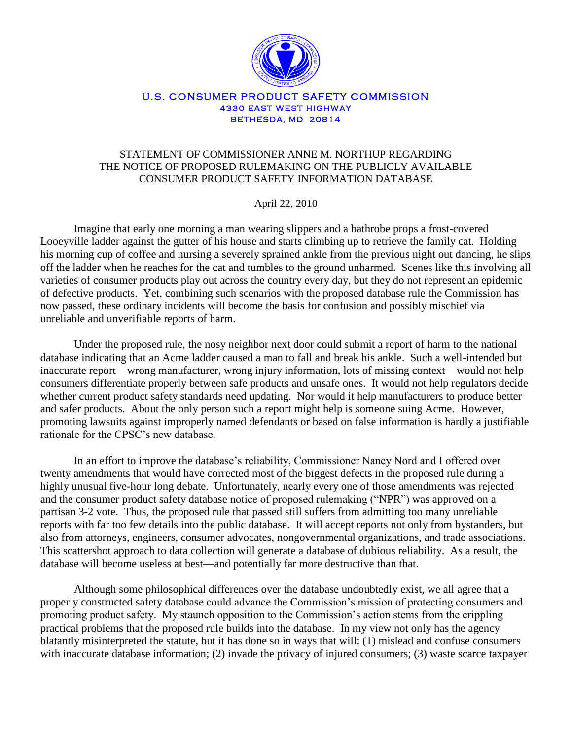

#### U.S. CONSUMER PRODUCT SAFETY COMMISSION **4330 EAST WEST HIGHWAY BETHESDA, MD 20814**

## STATEMENT OF COMMISSIONER ANNE M. NORTHUP REGARDING THE NOTICE OF PROPOSED RULEMAKING ON THE PUBLICLY AVAILABLE CONSUMER PRODUCT SAFETY INFORMATION DATABASE

April 22, 2010

Imagine that early one morning a man wearing slippers and a bathrobe props a frost-covered Looeyville ladder against the gutter of his house and starts climbing up to retrieve the family cat. Holding his morning cup of coffee and nursing a severely sprained ankle from the previous night out dancing, he slips off the ladder when he reaches for the cat and tumbles to the ground unharmed. Scenes like this involving all varieties of consumer products play out across the country every day, but they do not represent an epidemic of defective products. Yet, combining such scenarios with the proposed database rule the Commission has now passed, these ordinary incidents will become the basis for confusion and possibly mischief via unreliable and unverifiable reports of harm.

Under the proposed rule, the nosy neighbor next door could submit a report of harm to the national database indicating that an Acme ladder caused a man to fall and break his ankle. Such a well-intended but inaccurate report—wrong manufacturer, wrong injury information, lots of missing context—would not help consumers differentiate properly between safe products and unsafe ones. It would not help regulators decide whether current product safety standards need updating. Nor would it help manufacturers to produce better and safer products. About the only person such a report might help is someone suing Acme. However, promoting lawsuits against improperly named defendants or based on false information is hardly a justifiable rationale for the CPSC's new database.

In an effort to improve the database's reliability, Commissioner Nancy Nord and I offered over twenty amendments that would have corrected most of the biggest defects in the proposed rule during a highly unusual five-hour long debate. Unfortunately, nearly every one of those amendments was rejected and the consumer product safety database notice of proposed rulemaking ("NPR") was approved on a partisan 3-2 vote. Thus, the proposed rule that passed still suffers from admitting too many unreliable reports with far too few details into the public database. It will accept reports not only from bystanders, but also from attorneys, engineers, consumer advocates, nongovernmental organizations, and trade associations. This scattershot approach to data collection will generate a database of dubious reliability. As a result, the database will become useless at best—and potentially far more destructive than that.

Although some philosophical differences over the database undoubtedly exist, we all agree that a properly constructed safety database could advance the Commission's mission of protecting consumers and promoting product safety. My staunch opposition to the Commission's action stems from the crippling practical problems that the proposed rule builds into the database. In my view not only has the agency blatantly misinterpreted the statute, but it has done so in ways that will: (1) mislead and confuse consumers with inaccurate database information; (2) invade the privacy of injured consumers; (3) waste scarce taxpayer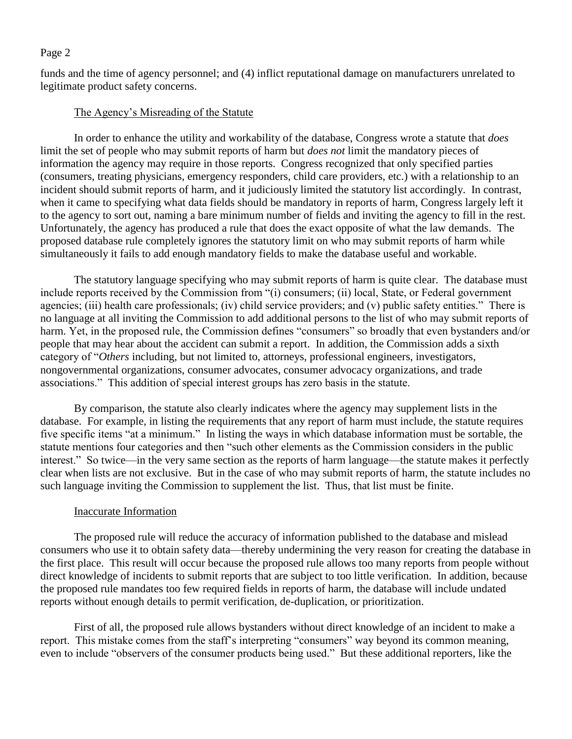funds and the time of agency personnel; and (4) inflict reputational damage on manufacturers unrelated to legitimate product safety concerns.

# The Agency's Misreading of the Statute

In order to enhance the utility and workability of the database, Congress wrote a statute that *does* limit the set of people who may submit reports of harm but *does not* limit the mandatory pieces of information the agency may require in those reports. Congress recognized that only specified parties (consumers, treating physicians, emergency responders, child care providers, etc.) with a relationship to an incident should submit reports of harm, and it judiciously limited the statutory list accordingly. In contrast, when it came to specifying what data fields should be mandatory in reports of harm, Congress largely left it to the agency to sort out, naming a bare minimum number of fields and inviting the agency to fill in the rest. Unfortunately, the agency has produced a rule that does the exact opposite of what the law demands. The proposed database rule completely ignores the statutory limit on who may submit reports of harm while simultaneously it fails to add enough mandatory fields to make the database useful and workable.

The statutory language specifying who may submit reports of harm is quite clear. The database must include reports received by the Commission from "(i) consumers; (ii) local, State, or Federal government agencies; (iii) health care professionals; (iv) child service providers; and (v) public safety entities." There is no language at all inviting the Commission to add additional persons to the list of who may submit reports of harm. Yet, in the proposed rule, the Commission defines "consumers" so broadly that even bystanders and/or people that may hear about the accident can submit a report. In addition, the Commission adds a sixth category of "*Others* including, but not limited to, attorneys, professional engineers, investigators, nongovernmental organizations, consumer advocates, consumer advocacy organizations, and trade associations." This addition of special interest groups has zero basis in the statute.

By comparison, the statute also clearly indicates where the agency may supplement lists in the database. For example, in listing the requirements that any report of harm must include, the statute requires five specific items "at a minimum." In listing the ways in which database information must be sortable, the statute mentions four categories and then "such other elements as the Commission considers in the public interest." So twice—in the very same section as the reports of harm language—the statute makes it perfectly clear when lists are not exclusive. But in the case of who may submit reports of harm, the statute includes no such language inviting the Commission to supplement the list. Thus, that list must be finite.

## Inaccurate Information

The proposed rule will reduce the accuracy of information published to the database and mislead consumers who use it to obtain safety data—thereby undermining the very reason for creating the database in the first place. This result will occur because the proposed rule allows too many reports from people without direct knowledge of incidents to submit reports that are subject to too little verification. In addition, because the proposed rule mandates too few required fields in reports of harm, the database will include undated reports without enough details to permit verification, de-duplication, or prioritization.

First of all, the proposed rule allows bystanders without direct knowledge of an incident to make a report. This mistake comes from the staff's interpreting "consumers" way beyond its common meaning, even to include "observers of the consumer products being used." But these additional reporters, like the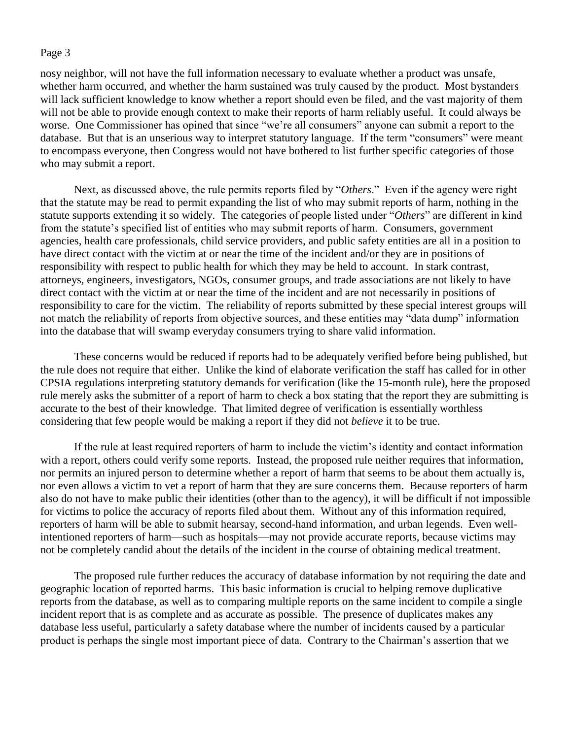nosy neighbor, will not have the full information necessary to evaluate whether a product was unsafe, whether harm occurred, and whether the harm sustained was truly caused by the product. Most bystanders will lack sufficient knowledge to know whether a report should even be filed, and the vast majority of them will not be able to provide enough context to make their reports of harm reliably useful. It could always be worse. One Commissioner has opined that since "we're all consumers" anyone can submit a report to the database. But that is an unserious way to interpret statutory language. If the term "consumers" were meant to encompass everyone, then Congress would not have bothered to list further specific categories of those who may submit a report.

Next, as discussed above, the rule permits reports filed by "*Others*." Even if the agency were right that the statute may be read to permit expanding the list of who may submit reports of harm, nothing in the statute supports extending it so widely. The categories of people listed under "*Others*" are different in kind from the statute's specified list of entities who may submit reports of harm. Consumers, government agencies, health care professionals, child service providers, and public safety entities are all in a position to have direct contact with the victim at or near the time of the incident and/or they are in positions of responsibility with respect to public health for which they may be held to account. In stark contrast, attorneys, engineers, investigators, NGOs, consumer groups, and trade associations are not likely to have direct contact with the victim at or near the time of the incident and are not necessarily in positions of responsibility to care for the victim. The reliability of reports submitted by these special interest groups will not match the reliability of reports from objective sources, and these entities may "data dump" information into the database that will swamp everyday consumers trying to share valid information.

These concerns would be reduced if reports had to be adequately verified before being published, but the rule does not require that either. Unlike the kind of elaborate verification the staff has called for in other CPSIA regulations interpreting statutory demands for verification (like the 15-month rule), here the proposed rule merely asks the submitter of a report of harm to check a box stating that the report they are submitting is accurate to the best of their knowledge. That limited degree of verification is essentially worthless considering that few people would be making a report if they did not *believe* it to be true.

If the rule at least required reporters of harm to include the victim's identity and contact information with a report, others could verify some reports. Instead, the proposed rule neither requires that information, nor permits an injured person to determine whether a report of harm that seems to be about them actually is, nor even allows a victim to vet a report of harm that they are sure concerns them. Because reporters of harm also do not have to make public their identities (other than to the agency), it will be difficult if not impossible for victims to police the accuracy of reports filed about them. Without any of this information required, reporters of harm will be able to submit hearsay, second-hand information, and urban legends. Even wellintentioned reporters of harm—such as hospitals—may not provide accurate reports, because victims may not be completely candid about the details of the incident in the course of obtaining medical treatment.

The proposed rule further reduces the accuracy of database information by not requiring the date and geographic location of reported harms. This basic information is crucial to helping remove duplicative reports from the database, as well as to comparing multiple reports on the same incident to compile a single incident report that is as complete and as accurate as possible. The presence of duplicates makes any database less useful, particularly a safety database where the number of incidents caused by a particular product is perhaps the single most important piece of data. Contrary to the Chairman's assertion that we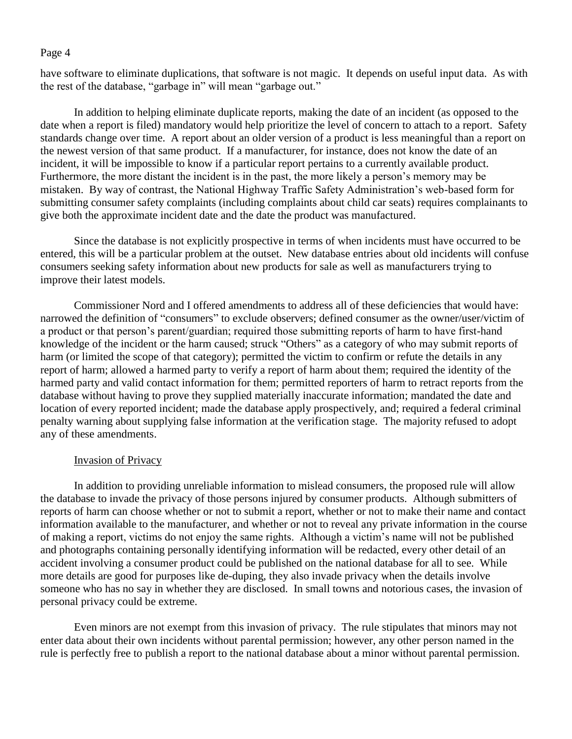have software to eliminate duplications, that software is not magic. It depends on useful input data. As with the rest of the database, "garbage in" will mean "garbage out."

In addition to helping eliminate duplicate reports, making the date of an incident (as opposed to the date when a report is filed) mandatory would help prioritize the level of concern to attach to a report. Safety standards change over time. A report about an older version of a product is less meaningful than a report on the newest version of that same product. If a manufacturer, for instance, does not know the date of an incident, it will be impossible to know if a particular report pertains to a currently available product. Furthermore, the more distant the incident is in the past, the more likely a person's memory may be mistaken. By way of contrast, the National Highway Traffic Safety Administration's web-based form for submitting consumer safety complaints (including complaints about child car seats) requires complainants to give both the approximate incident date and the date the product was manufactured.

Since the database is not explicitly prospective in terms of when incidents must have occurred to be entered, this will be a particular problem at the outset. New database entries about old incidents will confuse consumers seeking safety information about new products for sale as well as manufacturers trying to improve their latest models.

Commissioner Nord and I offered amendments to address all of these deficiencies that would have: narrowed the definition of "consumers" to exclude observers; defined consumer as the owner/user/victim of a product or that person's parent/guardian; required those submitting reports of harm to have first-hand knowledge of the incident or the harm caused; struck "Others" as a category of who may submit reports of harm (or limited the scope of that category); permitted the victim to confirm or refute the details in any report of harm; allowed a harmed party to verify a report of harm about them; required the identity of the harmed party and valid contact information for them; permitted reporters of harm to retract reports from the database without having to prove they supplied materially inaccurate information; mandated the date and location of every reported incident; made the database apply prospectively, and; required a federal criminal penalty warning about supplying false information at the verification stage. The majority refused to adopt any of these amendments.

## Invasion of Privacy

In addition to providing unreliable information to mislead consumers, the proposed rule will allow the database to invade the privacy of those persons injured by consumer products. Although submitters of reports of harm can choose whether or not to submit a report, whether or not to make their name and contact information available to the manufacturer, and whether or not to reveal any private information in the course of making a report, victims do not enjoy the same rights. Although a victim's name will not be published and photographs containing personally identifying information will be redacted, every other detail of an accident involving a consumer product could be published on the national database for all to see. While more details are good for purposes like de-duping, they also invade privacy when the details involve someone who has no say in whether they are disclosed. In small towns and notorious cases, the invasion of personal privacy could be extreme.

Even minors are not exempt from this invasion of privacy. The rule stipulates that minors may not enter data about their own incidents without parental permission; however, any other person named in the rule is perfectly free to publish a report to the national database about a minor without parental permission.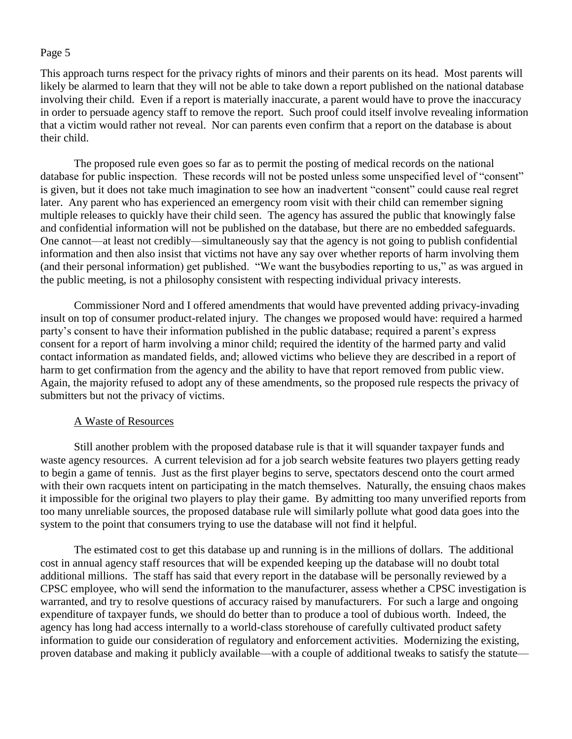This approach turns respect for the privacy rights of minors and their parents on its head. Most parents will likely be alarmed to learn that they will not be able to take down a report published on the national database involving their child. Even if a report is materially inaccurate, a parent would have to prove the inaccuracy in order to persuade agency staff to remove the report. Such proof could itself involve revealing information that a victim would rather not reveal. Nor can parents even confirm that a report on the database is about their child.

The proposed rule even goes so far as to permit the posting of medical records on the national database for public inspection. These records will not be posted unless some unspecified level of "consent" is given, but it does not take much imagination to see how an inadvertent "consent" could cause real regret later. Any parent who has experienced an emergency room visit with their child can remember signing multiple releases to quickly have their child seen. The agency has assured the public that knowingly false and confidential information will not be published on the database, but there are no embedded safeguards. One cannot—at least not credibly—simultaneously say that the agency is not going to publish confidential information and then also insist that victims not have any say over whether reports of harm involving them (and their personal information) get published. "We want the busybodies reporting to us," as was argued in the public meeting, is not a philosophy consistent with respecting individual privacy interests.

Commissioner Nord and I offered amendments that would have prevented adding privacy-invading insult on top of consumer product-related injury. The changes we proposed would have: required a harmed party's consent to have their information published in the public database; required a parent's express consent for a report of harm involving a minor child; required the identity of the harmed party and valid contact information as mandated fields, and; allowed victims who believe they are described in a report of harm to get confirmation from the agency and the ability to have that report removed from public view. Again, the majority refused to adopt any of these amendments, so the proposed rule respects the privacy of submitters but not the privacy of victims.

## A Waste of Resources

Still another problem with the proposed database rule is that it will squander taxpayer funds and waste agency resources. A current television ad for a job search website features two players getting ready to begin a game of tennis. Just as the first player begins to serve, spectators descend onto the court armed with their own racquets intent on participating in the match themselves. Naturally, the ensuing chaos makes it impossible for the original two players to play their game. By admitting too many unverified reports from too many unreliable sources, the proposed database rule will similarly pollute what good data goes into the system to the point that consumers trying to use the database will not find it helpful.

The estimated cost to get this database up and running is in the millions of dollars. The additional cost in annual agency staff resources that will be expended keeping up the database will no doubt total additional millions. The staff has said that every report in the database will be personally reviewed by a CPSC employee, who will send the information to the manufacturer, assess whether a CPSC investigation is warranted, and try to resolve questions of accuracy raised by manufacturers. For such a large and ongoing expenditure of taxpayer funds, we should do better than to produce a tool of dubious worth. Indeed, the agency has long had access internally to a world-class storehouse of carefully cultivated product safety information to guide our consideration of regulatory and enforcement activities. Modernizing the existing, proven database and making it publicly available—with a couple of additional tweaks to satisfy the statute—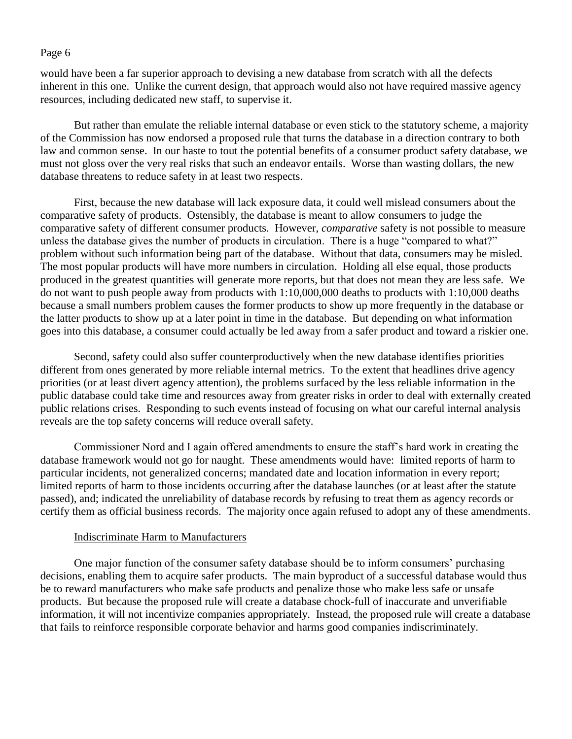would have been a far superior approach to devising a new database from scratch with all the defects inherent in this one. Unlike the current design, that approach would also not have required massive agency resources, including dedicated new staff, to supervise it.

But rather than emulate the reliable internal database or even stick to the statutory scheme, a majority of the Commission has now endorsed a proposed rule that turns the database in a direction contrary to both law and common sense. In our haste to tout the potential benefits of a consumer product safety database, we must not gloss over the very real risks that such an endeavor entails. Worse than wasting dollars, the new database threatens to reduce safety in at least two respects.

First, because the new database will lack exposure data, it could well mislead consumers about the comparative safety of products. Ostensibly, the database is meant to allow consumers to judge the comparative safety of different consumer products. However, *comparative* safety is not possible to measure unless the database gives the number of products in circulation. There is a huge "compared to what?" problem without such information being part of the database. Without that data, consumers may be misled. The most popular products will have more numbers in circulation. Holding all else equal, those products produced in the greatest quantities will generate more reports, but that does not mean they are less safe. We do not want to push people away from products with 1:10,000,000 deaths to products with 1:10,000 deaths because a small numbers problem causes the former products to show up more frequently in the database or the latter products to show up at a later point in time in the database. But depending on what information goes into this database, a consumer could actually be led away from a safer product and toward a riskier one.

Second, safety could also suffer counterproductively when the new database identifies priorities different from ones generated by more reliable internal metrics. To the extent that headlines drive agency priorities (or at least divert agency attention), the problems surfaced by the less reliable information in the public database could take time and resources away from greater risks in order to deal with externally created public relations crises. Responding to such events instead of focusing on what our careful internal analysis reveals are the top safety concerns will reduce overall safety.

Commissioner Nord and I again offered amendments to ensure the staff's hard work in creating the database framework would not go for naught. These amendments would have: limited reports of harm to particular incidents, not generalized concerns; mandated date and location information in every report; limited reports of harm to those incidents occurring after the database launches (or at least after the statute passed), and; indicated the unreliability of database records by refusing to treat them as agency records or certify them as official business records. The majority once again refused to adopt any of these amendments.

## Indiscriminate Harm to Manufacturers

One major function of the consumer safety database should be to inform consumers' purchasing decisions, enabling them to acquire safer products. The main byproduct of a successful database would thus be to reward manufacturers who make safe products and penalize those who make less safe or unsafe products. But because the proposed rule will create a database chock-full of inaccurate and unverifiable information, it will not incentivize companies appropriately. Instead, the proposed rule will create a database that fails to reinforce responsible corporate behavior and harms good companies indiscriminately.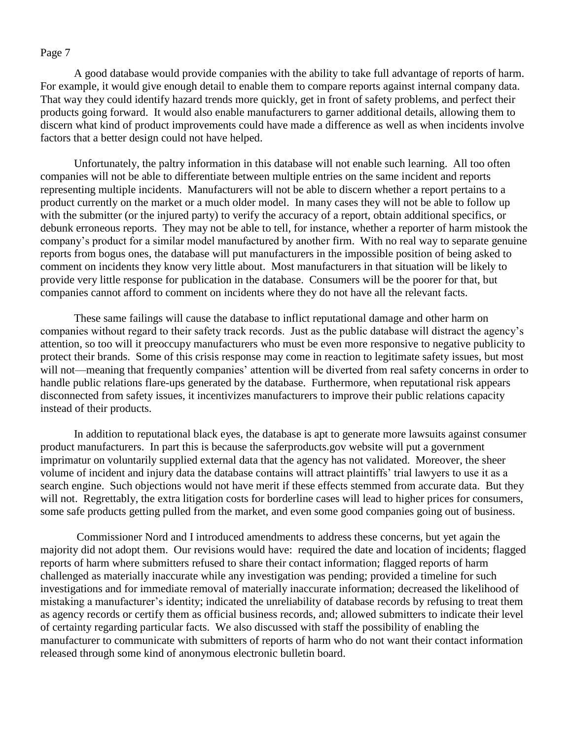A good database would provide companies with the ability to take full advantage of reports of harm. For example, it would give enough detail to enable them to compare reports against internal company data. That way they could identify hazard trends more quickly, get in front of safety problems, and perfect their products going forward. It would also enable manufacturers to garner additional details, allowing them to discern what kind of product improvements could have made a difference as well as when incidents involve factors that a better design could not have helped.

Unfortunately, the paltry information in this database will not enable such learning. All too often companies will not be able to differentiate between multiple entries on the same incident and reports representing multiple incidents. Manufacturers will not be able to discern whether a report pertains to a product currently on the market or a much older model. In many cases they will not be able to follow up with the submitter (or the injured party) to verify the accuracy of a report, obtain additional specifics, or debunk erroneous reports. They may not be able to tell, for instance, whether a reporter of harm mistook the company's product for a similar model manufactured by another firm. With no real way to separate genuine reports from bogus ones, the database will put manufacturers in the impossible position of being asked to comment on incidents they know very little about. Most manufacturers in that situation will be likely to provide very little response for publication in the database. Consumers will be the poorer for that, but companies cannot afford to comment on incidents where they do not have all the relevant facts.

These same failings will cause the database to inflict reputational damage and other harm on companies without regard to their safety track records. Just as the public database will distract the agency's attention, so too will it preoccupy manufacturers who must be even more responsive to negative publicity to protect their brands. Some of this crisis response may come in reaction to legitimate safety issues, but most will not—meaning that frequently companies' attention will be diverted from real safety concerns in order to handle public relations flare-ups generated by the database. Furthermore, when reputational risk appears disconnected from safety issues, it incentivizes manufacturers to improve their public relations capacity instead of their products.

In addition to reputational black eyes, the database is apt to generate more lawsuits against consumer product manufacturers. In part this is because the saferproducts.gov website will put a government imprimatur on voluntarily supplied external data that the agency has not validated. Moreover, the sheer volume of incident and injury data the database contains will attract plaintiffs' trial lawyers to use it as a search engine. Such objections would not have merit if these effects stemmed from accurate data. But they will not. Regrettably, the extra litigation costs for borderline cases will lead to higher prices for consumers, some safe products getting pulled from the market, and even some good companies going out of business.

Commissioner Nord and I introduced amendments to address these concerns, but yet again the majority did not adopt them. Our revisions would have: required the date and location of incidents; flagged reports of harm where submitters refused to share their contact information; flagged reports of harm challenged as materially inaccurate while any investigation was pending; provided a timeline for such investigations and for immediate removal of materially inaccurate information; decreased the likelihood of mistaking a manufacturer's identity; indicated the unreliability of database records by refusing to treat them as agency records or certify them as official business records, and; allowed submitters to indicate their level of certainty regarding particular facts. We also discussed with staff the possibility of enabling the manufacturer to communicate with submitters of reports of harm who do not want their contact information released through some kind of anonymous electronic bulletin board.